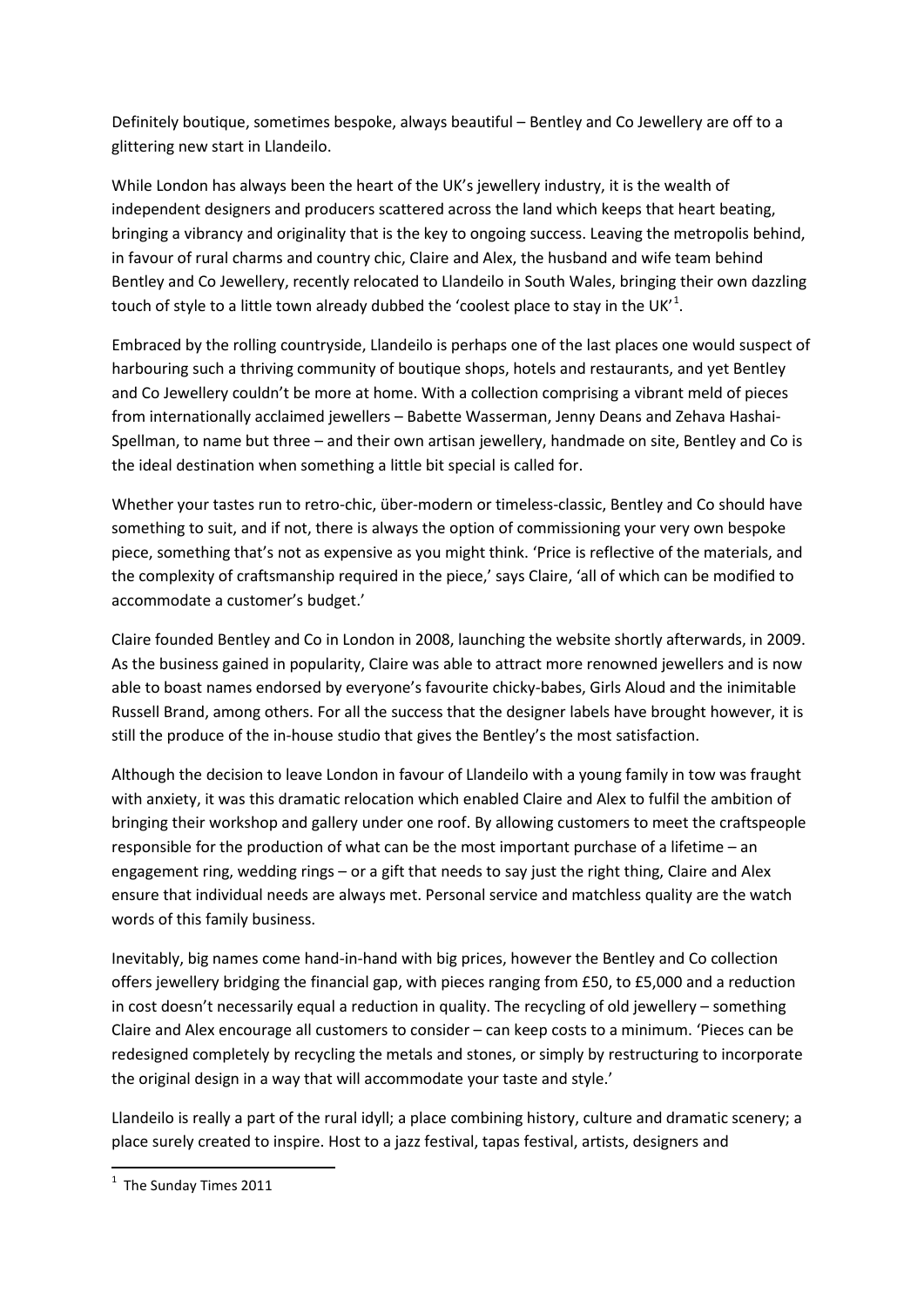Definitely boutique, sometimes bespoke, always beautiful – Bentley and Co Jewellery are off to a glittering new start in Llandeilo.

While London has always been the heart of the UK's jewellery industry, it is the wealth of independent designers and producers scattered across the land which keeps that heart beating, bringing a vibrancy and originality that is the key to ongoing success. Leaving the metropolis behind, in favour of rural charms and country chic, Claire and Alex, the husband and wife team behind Bentley and Co Jewellery, recently relocated to Llandeilo in South Wales, bringing their own dazzling touch of style to a little town already dubbed the 'coolest place to stay in the UK'<sup>[1](#page-0-0)</sup>.

Embraced by the rolling countryside, Llandeilo is perhaps one of the last places one would suspect of harbouring such a thriving community of boutique shops, hotels and restaurants, and yet Bentley and Co Jewellery couldn't be more at home. With a collection comprising a vibrant meld of pieces from internationally acclaimed jewellers – Babette Wasserman, Jenny Deans and Zehava Hashai-Spellman, to name but three – and their own artisan jewellery, handmade on site, Bentley and Co is the ideal destination when something a little bit special is called for.

Whether your tastes run to retro-chic, über-modern or timeless-classic, Bentley and Co should have something to suit, and if not, there is always the option of commissioning your very own bespoke piece, something that's not as expensive as you might think. 'Price is reflective of the materials, and the complexity of craftsmanship required in the piece,' says Claire, 'all of which can be modified to accommodate a customer's budget.'

Claire founded Bentley and Co in London in 2008, launching the website shortly afterwards, in 2009. As the business gained in popularity, Claire was able to attract more renowned jewellers and is now able to boast names endorsed by everyone's favourite chicky-babes, Girls Aloud and the inimitable Russell Brand, among others. For all the success that the designer labels have brought however, it is still the produce of the in-house studio that gives the Bentley's the most satisfaction.

Although the decision to leave London in favour of Llandeilo with a young family in tow was fraught with anxiety, it was this dramatic relocation which enabled Claire and Alex to fulfil the ambition of bringing their workshop and gallery under one roof. By allowing customers to meet the craftspeople responsible for the production of what can be the most important purchase of a lifetime – an engagement ring, wedding rings – or a gift that needs to say just the right thing, Claire and Alex ensure that individual needs are always met. Personal service and matchless quality are the watch words of this family business.

Inevitably, big names come hand-in-hand with big prices, however the Bentley and Co collection offers jewellery bridging the financial gap, with pieces ranging from £50, to £5,000 and a reduction in cost doesn't necessarily equal a reduction in quality. The recycling of old jewellery – something Claire and Alex encourage all customers to consider – can keep costs to a minimum. 'Pieces can be redesigned completely by recycling the metals and stones, or simply by restructuring to incorporate the original design in a way that will accommodate your taste and style.'

Llandeilo is really a part of the rural idyll; a place combining history, culture and dramatic scenery; a place surely created to inspire. Host to a jazz festival, tapas festival, artists, designers and

<span id="page-0-0"></span> $\frac{1}{1}$  $1$  The Sunday Times 2011